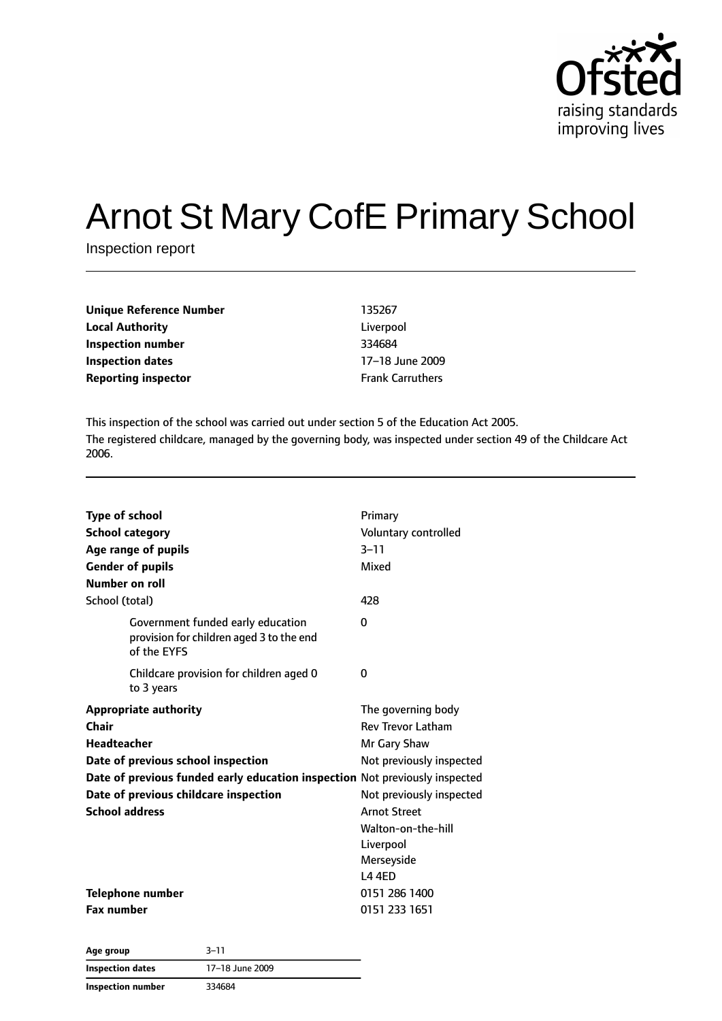

# Arnot St Mary CofE Primary School

Inspection report

| Unique Reference Number    | 135267                  |
|----------------------------|-------------------------|
| <b>Local Authority</b>     | Liverpool               |
| <b>Inspection number</b>   | 334684                  |
| <b>Inspection dates</b>    | 17-18 June 2009         |
| <b>Reporting inspector</b> | <b>Frank Carruthers</b> |
|                            |                         |

This inspection of the school was carried out under section 5 of the Education Act 2005. The registered childcare, managed by the governing body, was inspected under section 49 of the Childcare Act 2006.

| <b>Type of school</b><br><b>School category</b><br>Age range of pupils<br><b>Gender of pupils</b><br>Number on roll | Primary<br>Voluntary controlled<br>$3 - 11$<br>Mixed |
|---------------------------------------------------------------------------------------------------------------------|------------------------------------------------------|
| School (total)                                                                                                      | 428                                                  |
| Government funded early education<br>provision for children aged 3 to the end<br>of the EYFS                        | $\Omega$                                             |
| Childcare provision for children aged 0<br>to 3 years                                                               | 0                                                    |
| <b>Appropriate authority</b>                                                                                        | The governing body                                   |
| Chair                                                                                                               | <b>Rev Trevor Latham</b>                             |
| <b>Headteacher</b>                                                                                                  | Mr Gary Shaw                                         |
| Date of previous school inspection                                                                                  | Not previously inspected                             |
| Date of previous funded early education inspection Not previously inspected                                         |                                                      |
| Date of previous childcare inspection                                                                               | Not previously inspected                             |
| <b>School address</b>                                                                                               | <b>Arnot Street</b>                                  |
|                                                                                                                     | Walton-on-the-hill                                   |
|                                                                                                                     | Liverpool                                            |
|                                                                                                                     | Merseyside                                           |
|                                                                                                                     | <b>L44FD</b>                                         |
| Telephone number                                                                                                    | 0151 286 1400                                        |
| <b>Fax number</b>                                                                                                   | 0151 233 1651                                        |

| Age group         | $3 - 11$        |
|-------------------|-----------------|
| Inspection dates  | 17-18 June 2009 |
| Inspection number | 334684          |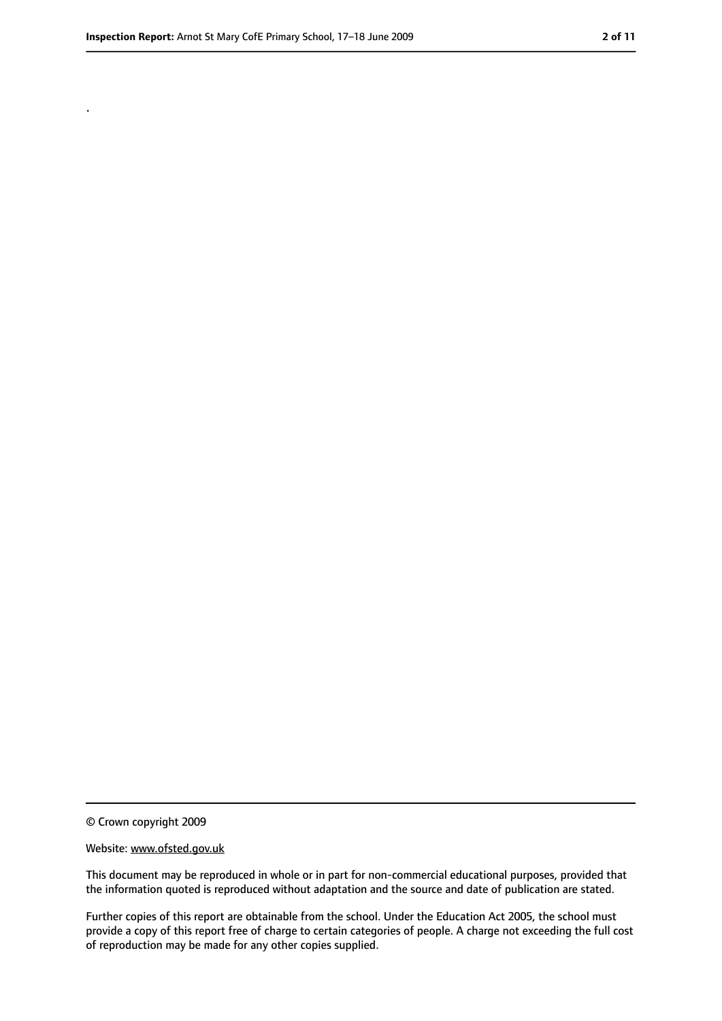.

<sup>©</sup> Crown copyright 2009

Website: www.ofsted.gov.uk

This document may be reproduced in whole or in part for non-commercial educational purposes, provided that the information quoted is reproduced without adaptation and the source and date of publication are stated.

Further copies of this report are obtainable from the school. Under the Education Act 2005, the school must provide a copy of this report free of charge to certain categories of people. A charge not exceeding the full cost of reproduction may be made for any other copies supplied.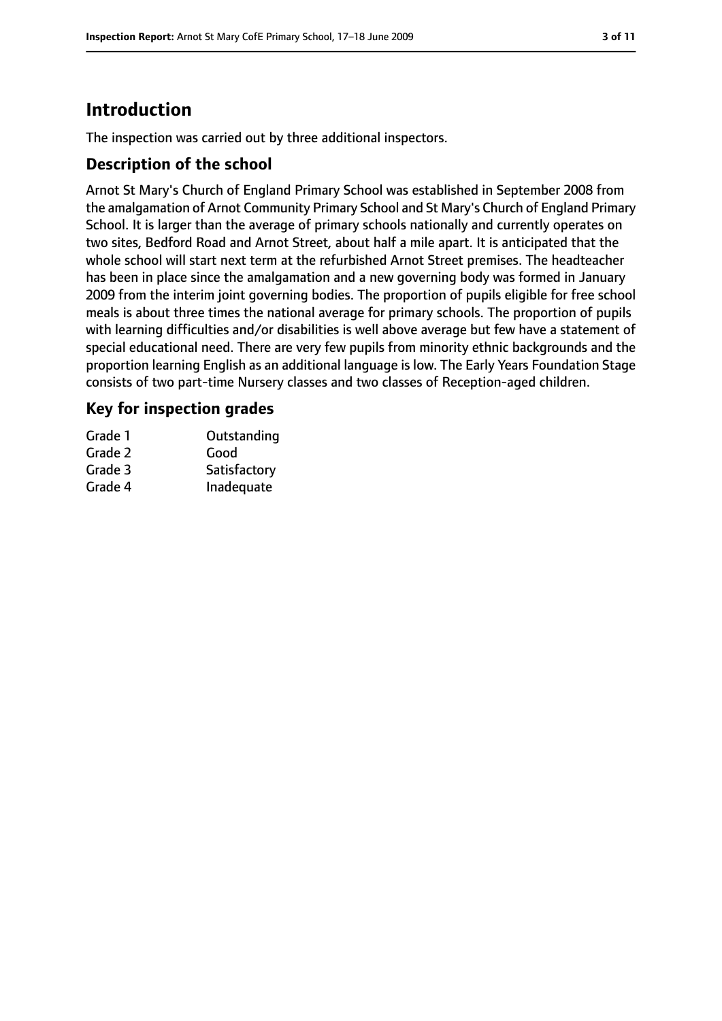# **Introduction**

The inspection was carried out by three additional inspectors.

### **Description of the school**

Arnot St Mary's Church of England Primary School was established in September 2008 from the amalgamation of Arnot Community Primary School and St Mary's Church of England Primary School. It is larger than the average of primary schools nationally and currently operates on two sites, Bedford Road and Arnot Street, about half a mile apart. It is anticipated that the whole school will start next term at the refurbished Arnot Street premises. The headteacher has been in place since the amalgamation and a new governing body was formed in January 2009 from the interim joint governing bodies. The proportion of pupils eligible for free school meals is about three times the national average for primary schools. The proportion of pupils with learning difficulties and/or disabilities is well above average but few have a statement of special educational need. There are very few pupils from minority ethnic backgrounds and the proportion learning English as an additional language is low. The Early Years Foundation Stage consists of two part-time Nursery classes and two classes of Reception-aged children.

## **Key for inspection grades**

| Grade 1 | Outstanding  |
|---------|--------------|
| Grade 2 | Good         |
| Grade 3 | Satisfactory |
| Grade 4 | Inadequate   |
|         |              |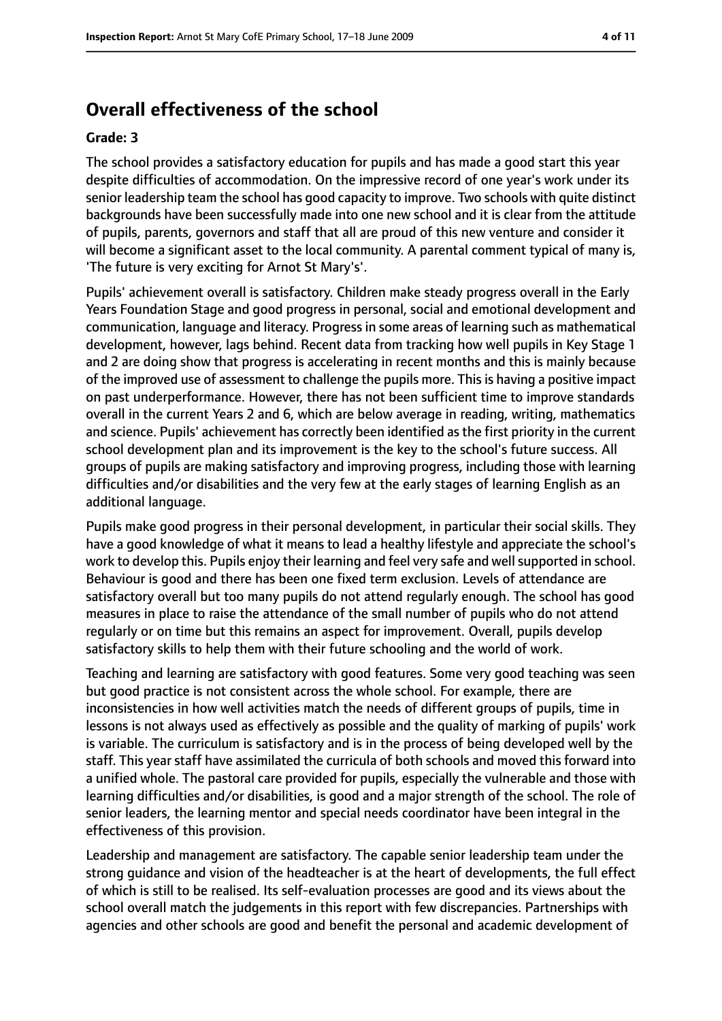# **Overall effectiveness of the school**

#### **Grade: 3**

The school provides a satisfactory education for pupils and has made a good start this year despite difficulties of accommodation. On the impressive record of one year's work under its senior leadership team the school has good capacity to improve. Two schools with quite distinct backgrounds have been successfully made into one new school and it is clear from the attitude of pupils, parents, governors and staff that all are proud of this new venture and consider it will become a significant asset to the local community. A parental comment typical of many is, 'The future is very exciting for Arnot St Mary's'.

Pupils' achievement overall is satisfactory. Children make steady progress overall in the Early Years Foundation Stage and good progress in personal, social and emotional development and communication, language and literacy. Progressin some areas of learning such as mathematical development, however, lags behind. Recent data from tracking how well pupils in Key Stage 1 and 2 are doing show that progress is accelerating in recent months and this is mainly because of the improved use of assessment to challenge the pupils more. This is having a positive impact on past underperformance. However, there has not been sufficient time to improve standards overall in the current Years 2 and 6, which are below average in reading, writing, mathematics and science. Pupils' achievement has correctly been identified as the first priority in the current school development plan and its improvement is the key to the school's future success. All groups of pupils are making satisfactory and improving progress, including those with learning difficulties and/or disabilities and the very few at the early stages of learning English as an additional language.

Pupils make good progress in their personal development, in particular their social skills. They have a good knowledge of what it means to lead a healthy lifestyle and appreciate the school's work to develop this. Pupils enjoy their learning and feel very safe and wellsupported in school. Behaviour is good and there has been one fixed term exclusion. Levels of attendance are satisfactory overall but too many pupils do not attend regularly enough. The school has good measures in place to raise the attendance of the small number of pupils who do not attend regularly or on time but this remains an aspect for improvement. Overall, pupils develop satisfactory skills to help them with their future schooling and the world of work.

Teaching and learning are satisfactory with good features. Some very good teaching was seen but good practice is not consistent across the whole school. For example, there are inconsistencies in how well activities match the needs of different groups of pupils, time in lessons is not always used as effectively as possible and the quality of marking of pupils' work is variable. The curriculum is satisfactory and is in the process of being developed well by the staff. This year staff have assimilated the curricula of both schools and moved this forward into a unified whole. The pastoral care provided for pupils, especially the vulnerable and those with learning difficulties and/or disabilities, is good and a major strength of the school. The role of senior leaders, the learning mentor and special needs coordinator have been integral in the effectiveness of this provision.

Leadership and management are satisfactory. The capable senior leadership team under the strong guidance and vision of the headteacher is at the heart of developments, the full effect of which is still to be realised. Its self-evaluation processes are good and its views about the school overall match the judgements in this report with few discrepancies. Partnerships with agencies and other schools are good and benefit the personal and academic development of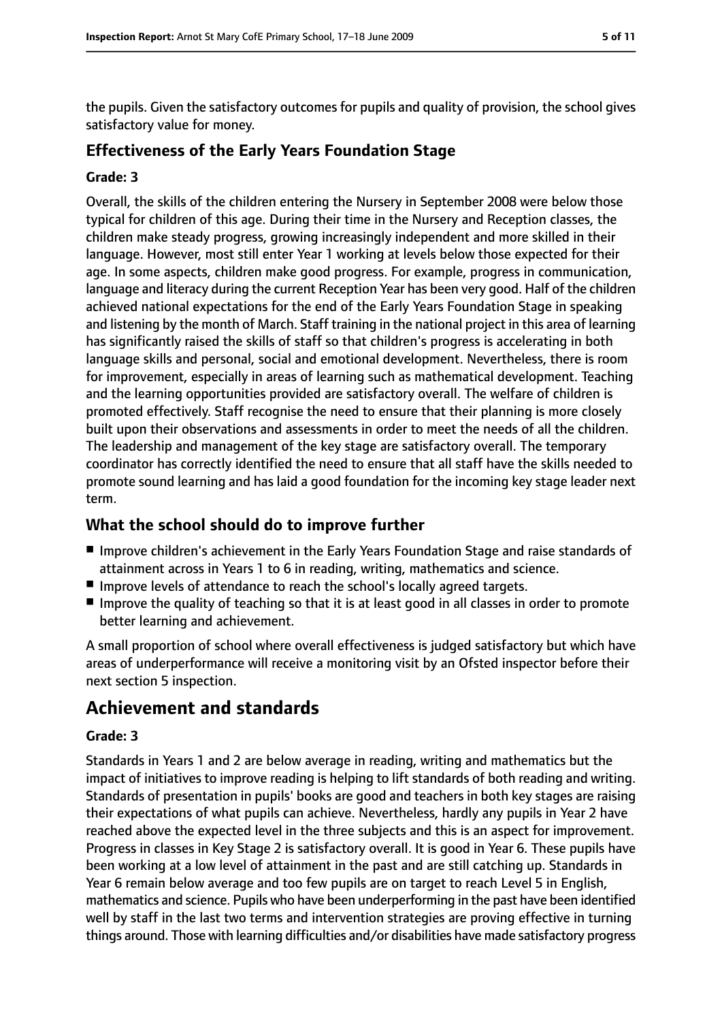the pupils. Given the satisfactory outcomes for pupils and quality of provision, the school gives satisfactory value for money.

## **Effectiveness of the Early Years Foundation Stage**

#### **Grade: 3**

Overall, the skills of the children entering the Nursery in September 2008 were below those typical for children of this age. During their time in the Nursery and Reception classes, the children make steady progress, growing increasingly independent and more skilled in their language. However, most still enter Year 1 working at levels below those expected for their age. In some aspects, children make good progress. For example, progress in communication, language and literacy during the current Reception Year has been very good. Half of the children achieved national expectations for the end of the Early Years Foundation Stage in speaking and listening by the month of March. Staff training in the national project in this area of learning has significantly raised the skills of staff so that children's progress is accelerating in both language skills and personal, social and emotional development. Nevertheless, there is room for improvement, especially in areas of learning such as mathematical development. Teaching and the learning opportunities provided are satisfactory overall. The welfare of children is promoted effectively. Staff recognise the need to ensure that their planning is more closely built upon their observations and assessments in order to meet the needs of all the children. The leadership and management of the key stage are satisfactory overall. The temporary coordinator has correctly identified the need to ensure that all staff have the skills needed to promote sound learning and has laid a good foundation for the incoming key stage leader next term.

# **What the school should do to improve further**

- Improve children's achievement in the Early Years Foundation Stage and raise standards of attainment across in Years 1 to 6 in reading, writing, mathematics and science.
- Improve levels of attendance to reach the school's locally agreed targets.
- Improve the quality of teaching so that it is at least good in all classes in order to promote better learning and achievement.

A small proportion of school where overall effectiveness is judged satisfactory but which have areas of underperformance will receive a monitoring visit by an Ofsted inspector before their next section 5 inspection.

# **Achievement and standards**

#### **Grade: 3**

Standards in Years 1 and 2 are below average in reading, writing and mathematics but the impact of initiatives to improve reading is helping to lift standards of both reading and writing. Standards of presentation in pupils' books are good and teachers in both key stages are raising their expectations of what pupils can achieve. Nevertheless, hardly any pupils in Year 2 have reached above the expected level in the three subjects and this is an aspect for improvement. Progress in classes in Key Stage 2 is satisfactory overall. It is good in Year 6. These pupils have been working at a low level of attainment in the past and are still catching up. Standards in Year 6 remain below average and too few pupils are on target to reach Level 5 in English, mathematics and science. Pupils who have been underperforming in the past have been identified well by staff in the last two terms and intervention strategies are proving effective in turning things around. Those with learning difficulties and/or disabilities have made satisfactory progress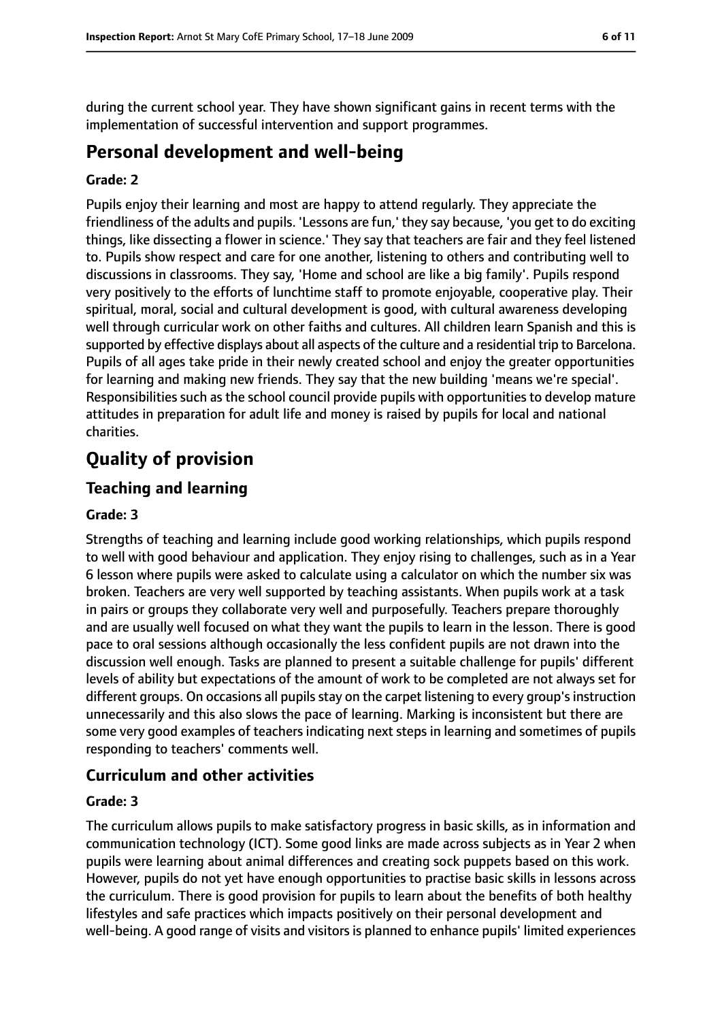during the current school year. They have shown significant gains in recent terms with the implementation of successful intervention and support programmes.

# **Personal development and well-being**

#### **Grade: 2**

Pupils enjoy their learning and most are happy to attend regularly. They appreciate the friendliness of the adults and pupils. 'Lessons are fun,' they say because, 'you get to do exciting things, like dissecting a flower in science.' They say that teachers are fair and they feel listened to. Pupils show respect and care for one another, listening to others and contributing well to discussions in classrooms. They say, 'Home and school are like a big family'. Pupils respond very positively to the efforts of lunchtime staff to promote enjoyable, cooperative play. Their spiritual, moral, social and cultural development is good, with cultural awareness developing well through curricular work on other faiths and cultures. All children learn Spanish and this is supported by effective displays about all aspects of the culture and a residential trip to Barcelona. Pupils of all ages take pride in their newly created school and enjoy the greater opportunities for learning and making new friends. They say that the new building 'means we're special'. Responsibilities such as the school council provide pupils with opportunities to develop mature attitudes in preparation for adult life and money is raised by pupils for local and national charities.

# **Quality of provision**

# **Teaching and learning**

#### **Grade: 3**

Strengths of teaching and learning include good working relationships, which pupils respond to well with good behaviour and application. They enjoy rising to challenges, such as in a Year 6 lesson where pupils were asked to calculate using a calculator on which the number six was broken. Teachers are very well supported by teaching assistants. When pupils work at a task in pairs or groups they collaborate very well and purposefully. Teachers prepare thoroughly and are usually well focused on what they want the pupils to learn in the lesson. There is good pace to oral sessions although occasionally the less confident pupils are not drawn into the discussion well enough. Tasks are planned to present a suitable challenge for pupils' different levels of ability but expectations of the amount of work to be completed are not always set for different groups. On occasions all pupils stay on the carpet listening to every group's instruction unnecessarily and this also slows the pace of learning. Marking is inconsistent but there are some very good examples of teachers indicating next steps in learning and sometimes of pupils responding to teachers' comments well.

# **Curriculum and other activities**

#### **Grade: 3**

The curriculum allows pupils to make satisfactory progress in basic skills, as in information and communication technology (ICT). Some good links are made across subjects as in Year 2 when pupils were learning about animal differences and creating sock puppets based on this work. However, pupils do not yet have enough opportunities to practise basic skills in lessons across the curriculum. There is good provision for pupils to learn about the benefits of both healthy lifestyles and safe practices which impacts positively on their personal development and well-being. A good range of visits and visitors is planned to enhance pupils' limited experiences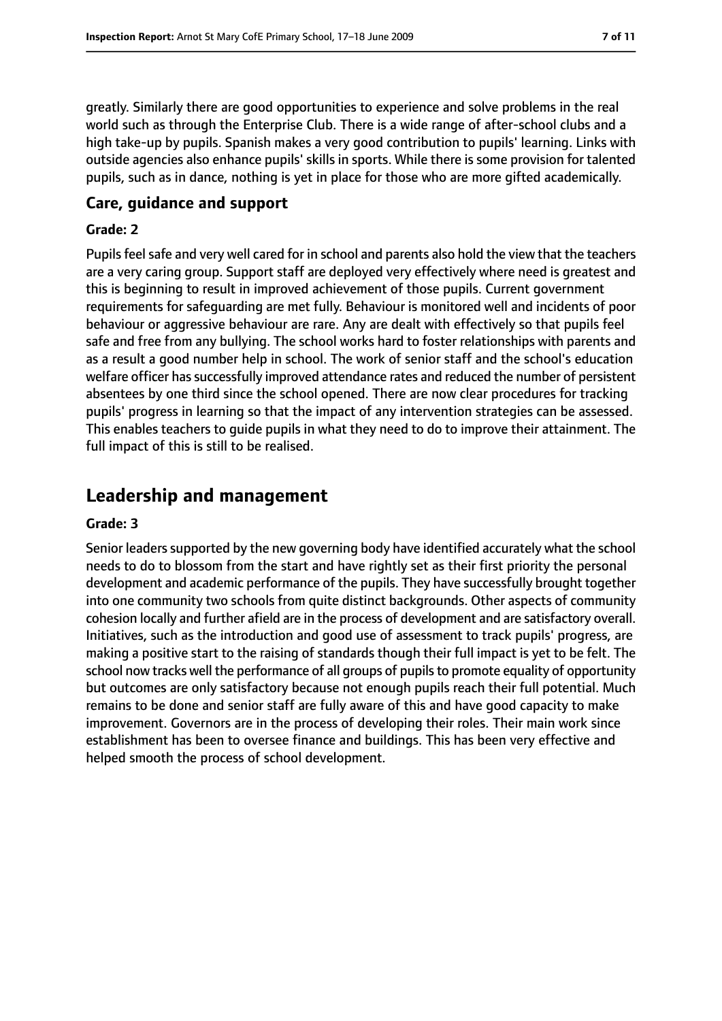greatly. Similarly there are good opportunities to experience and solve problems in the real world such as through the Enterprise Club. There is a wide range of after-school clubs and a high take-up by pupils. Spanish makes a very good contribution to pupils' learning. Links with outside agencies also enhance pupils' skills in sports. While there is some provision for talented pupils, such as in dance, nothing is yet in place for those who are more gifted academically.

#### **Care, guidance and support**

#### **Grade: 2**

Pupils feel safe and very well cared for in school and parents also hold the view that the teachers are a very caring group. Support staff are deployed very effectively where need is greatest and this is beginning to result in improved achievement of those pupils. Current government requirements for safeguarding are met fully. Behaviour is monitored well and incidents of poor behaviour or aggressive behaviour are rare. Any are dealt with effectively so that pupils feel safe and free from any bullying. The school works hard to foster relationships with parents and as a result a good number help in school. The work of senior staff and the school's education welfare officer hassuccessfully improved attendance rates and reduced the number of persistent absentees by one third since the school opened. There are now clear procedures for tracking pupils' progress in learning so that the impact of any intervention strategies can be assessed. This enables teachers to guide pupils in what they need to do to improve their attainment. The full impact of this is still to be realised.

# **Leadership and management**

#### **Grade: 3**

Senior leaders supported by the new governing body have identified accurately what the school needs to do to blossom from the start and have rightly set as their first priority the personal development and academic performance of the pupils. They have successfully brought together into one community two schools from quite distinct backgrounds. Other aspects of community cohesion locally and further afield are in the process of development and are satisfactory overall. Initiatives, such as the introduction and good use of assessment to track pupils' progress, are making a positive start to the raising of standards though their full impact is yet to be felt. The school now tracks well the performance of all groups of pupils to promote equality of opportunity but outcomes are only satisfactory because not enough pupils reach their full potential. Much remains to be done and senior staff are fully aware of this and have good capacity to make improvement. Governors are in the process of developing their roles. Their main work since establishment has been to oversee finance and buildings. This has been very effective and helped smooth the process of school development.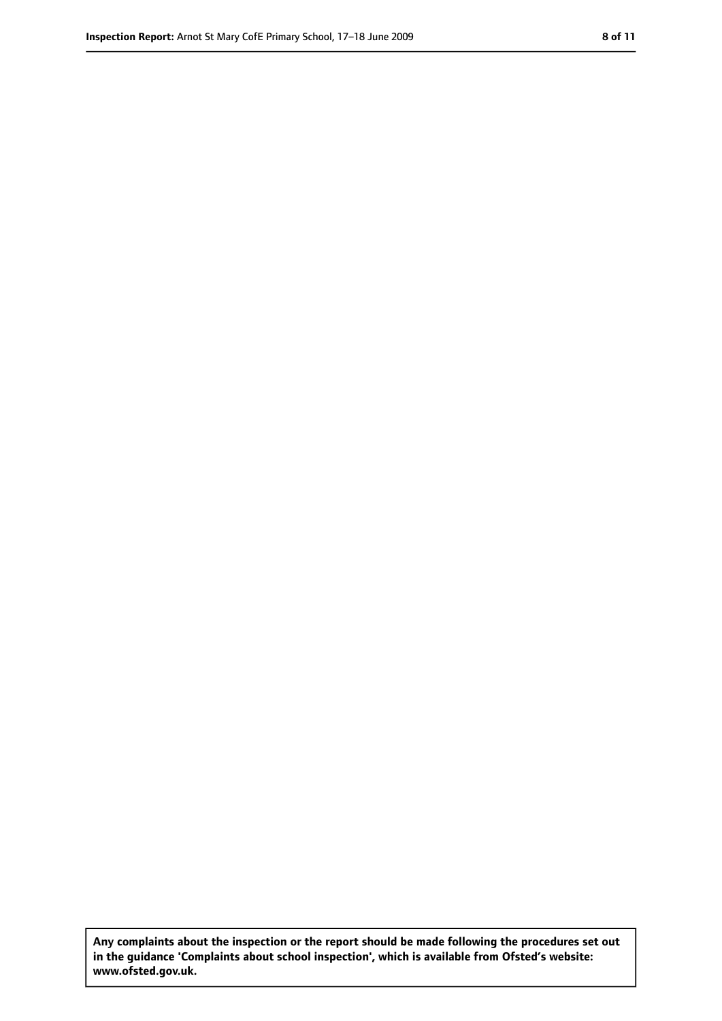**Any complaints about the inspection or the report should be made following the procedures set out in the guidance 'Complaints about school inspection', which is available from Ofsted's website: www.ofsted.gov.uk.**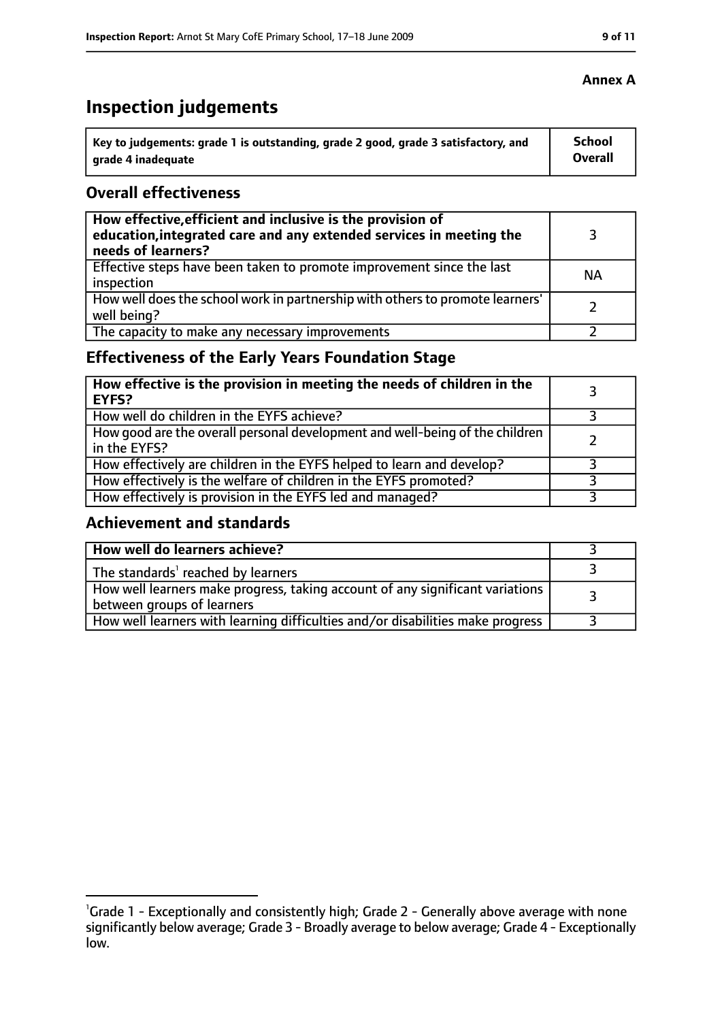# **Inspection judgements**

| Key to judgements: grade 1 is outstanding, grade 2 good, grade 3 satisfactory, and | School  |
|------------------------------------------------------------------------------------|---------|
| arade 4 inadequate                                                                 | Overall |

## **Overall effectiveness**

| How effective, efficient and inclusive is the provision of<br>education, integrated care and any extended services in meeting the<br>needs of learners? |           |
|---------------------------------------------------------------------------------------------------------------------------------------------------------|-----------|
| Effective steps have been taken to promote improvement since the last<br>inspection                                                                     | <b>NA</b> |
| How well does the school work in partnership with others to promote learners'<br>well being?                                                            |           |
| The capacity to make any necessary improvements                                                                                                         |           |

# **Effectiveness of the Early Years Foundation Stage**

| How effective is the provision in meeting the needs of children in the<br><b>EYFS?</b>       |  |
|----------------------------------------------------------------------------------------------|--|
| How well do children in the EYFS achieve?                                                    |  |
| How good are the overall personal development and well-being of the children<br>in the EYFS? |  |
| How effectively are children in the EYFS helped to learn and develop?                        |  |
| How effectively is the welfare of children in the EYFS promoted?                             |  |
| How effectively is provision in the EYFS led and managed?                                    |  |

# **Achievement and standards**

| How well do learners achieve?                                                                               |  |
|-------------------------------------------------------------------------------------------------------------|--|
| The standards <sup>1</sup> reached by learners                                                              |  |
| How well learners make progress, taking account of any significant variations<br>between groups of learners |  |
| How well learners with learning difficulties and/or disabilities make progress                              |  |

<sup>&</sup>lt;sup>1</sup>Grade 1 - Exceptionally and consistently high; Grade 2 - Generally above average with none significantly below average; Grade 3 - Broadly average to below average; Grade 4 - Exceptionally low.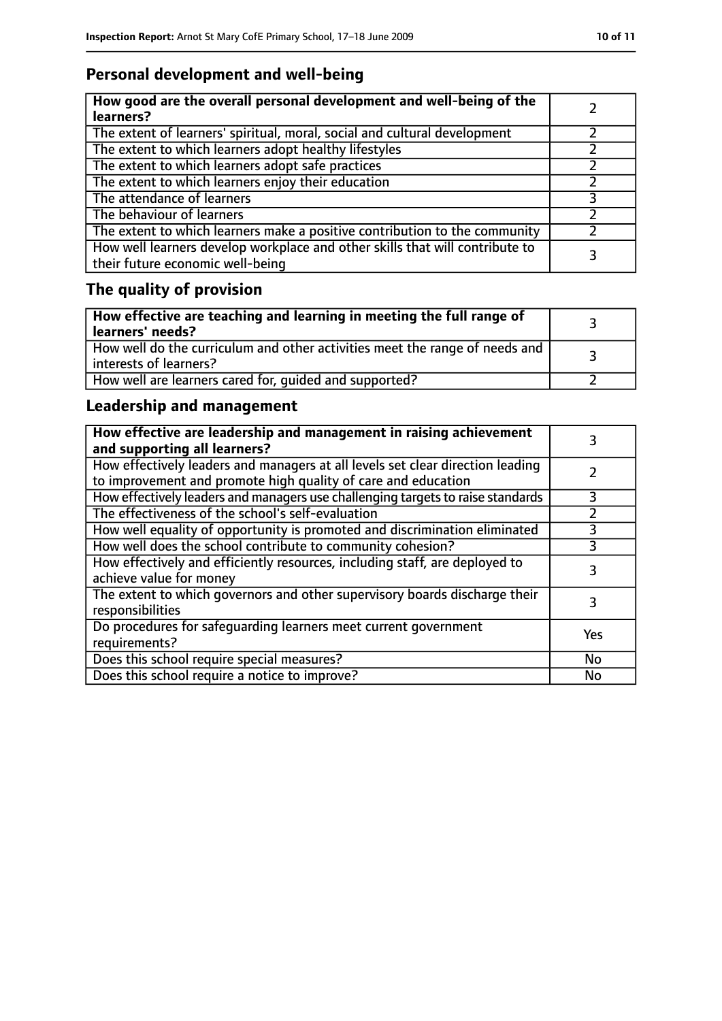# **Personal development and well-being**

| How good are the overall personal development and well-being of the<br>learners?                                 |  |
|------------------------------------------------------------------------------------------------------------------|--|
| The extent of learners' spiritual, moral, social and cultural development                                        |  |
| The extent to which learners adopt healthy lifestyles                                                            |  |
| The extent to which learners adopt safe practices                                                                |  |
| The extent to which learners enjoy their education                                                               |  |
| The attendance of learners                                                                                       |  |
| The behaviour of learners                                                                                        |  |
| The extent to which learners make a positive contribution to the community                                       |  |
| How well learners develop workplace and other skills that will contribute to<br>their future economic well-being |  |

# **The quality of provision**

| How effective are teaching and learning in meeting the full range of<br>learners' needs?              |  |
|-------------------------------------------------------------------------------------------------------|--|
| How well do the curriculum and other activities meet the range of needs and<br>interests of learners? |  |
| How well are learners cared for, quided and supported?                                                |  |

# **Leadership and management**

| How effective are leadership and management in raising achievement<br>and supporting all learners?                                              |           |
|-------------------------------------------------------------------------------------------------------------------------------------------------|-----------|
| How effectively leaders and managers at all levels set clear direction leading<br>to improvement and promote high quality of care and education |           |
| How effectively leaders and managers use challenging targets to raise standards                                                                 | 3         |
| The effectiveness of the school's self-evaluation                                                                                               |           |
| How well equality of opportunity is promoted and discrimination eliminated                                                                      |           |
| How well does the school contribute to community cohesion?                                                                                      | 3         |
| How effectively and efficiently resources, including staff, are deployed to<br>achieve value for money                                          | 3         |
| The extent to which governors and other supervisory boards discharge their<br>responsibilities                                                  | 3         |
| Do procedures for safequarding learners meet current government<br>requirements?                                                                | Yes       |
| Does this school require special measures?                                                                                                      | No        |
| Does this school require a notice to improve?                                                                                                   | <b>No</b> |